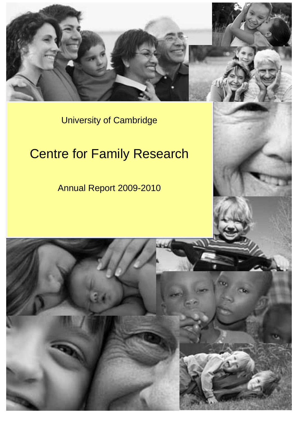

University of Cambridge

# Centre for Family Research

Annual Report 2009-2010

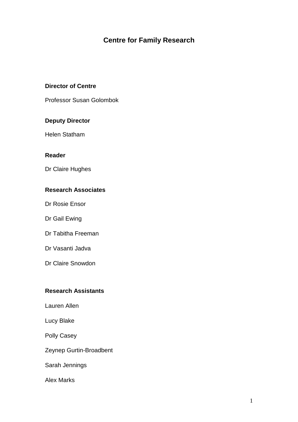# **Centre for Family Research**

# **Director of Centre**

Professor Susan Golombok

## **Deputy Director**

Helen Statham

#### **Reader**

Dr Claire Hughes

# **Research Associates**

Dr Rosie Ensor

Dr Gail Ewing

Dr Tabitha Freeman

Dr Vasanti Jadva

Dr Claire Snowdon

# **Research Assistants**

Lauren Allen

Lucy Blake

Polly Casey

Zeynep Gurtin-Broadbent

Sarah Jennings

Alex Marks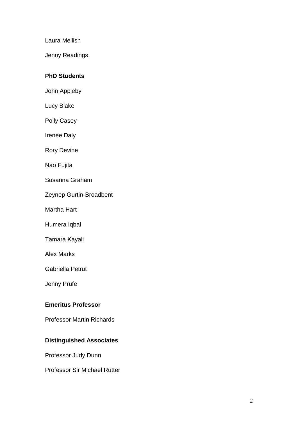Laura Mellish

Jenny Readings

#### **PhD Students**

- John Appleby
- Lucy Blake
- Polly Casey
- Irenee Daly
- Rory Devine
- Nao Fujita
- Susanna Graham
- Zeynep Gurtin-Broadbent
- Martha Hart
- Humera Iqbal
- Tamara Kayali
- Alex Marks
- Gabriella Petrut
- Jenny Prüfe

#### **Emeritus Professor**

Professor Martin Richards

# **Distinguished Associates**

- Professor Judy Dunn
- Professor Sir Michael Rutter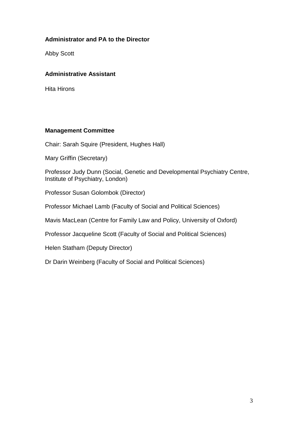# **Administrator and PA to the Director**

Abby Scott

# **Administrative Assistant**

Hita Hirons

#### **Management Committee**

Chair: Sarah Squire (President, Hughes Hall)

Mary Griffin (Secretary)

Professor Judy Dunn (Social, Genetic and Developmental Psychiatry Centre, Institute of Psychiatry, London)

Professor Susan Golombok (Director)

Professor Michael Lamb (Faculty of Social and Political Sciences)

Mavis MacLean (Centre for Family Law and Policy, University of Oxford)

Professor Jacqueline Scott (Faculty of Social and Political Sciences)

Helen Statham (Deputy Director)

Dr Darin Weinberg (Faculty of Social and Political Sciences)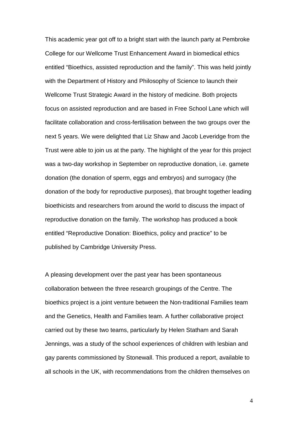This academic year got off to a bright start with the launch party at Pembroke College for our Wellcome Trust Enhancement Award in biomedical ethics entitled "Bioethics, assisted reproduction and the family". This was held jointly with the Department of History and Philosophy of Science to launch their Wellcome Trust Strategic Award in the history of medicine. Both projects focus on assisted reproduction and are based in Free School Lane which will facilitate collaboration and cross-fertilisation between the two groups over the next 5 years. We were delighted that Liz Shaw and Jacob Leveridge from the Trust were able to join us at the party. The highlight of the year for this project was a two-day workshop in September on reproductive donation, i.e. gamete donation (the donation of sperm, eggs and embryos) and surrogacy (the donation of the body for reproductive purposes), that brought together leading bioethicists and researchers from around the world to discuss the impact of reproductive donation on the family. The workshop has produced a book entitled "Reproductive Donation: Bioethics, policy and practice" to be published by Cambridge University Press.

A pleasing development over the past year has been spontaneous collaboration between the three research groupings of the Centre. The bioethics project is a joint venture between the Non-traditional Families team and the Genetics, Health and Families team. A further collaborative project carried out by these two teams, particularly by Helen Statham and Sarah Jennings, was a study of the school experiences of children with lesbian and gay parents commissioned by Stonewall. This produced a report, available to all schools in the UK, with recommendations from the children themselves on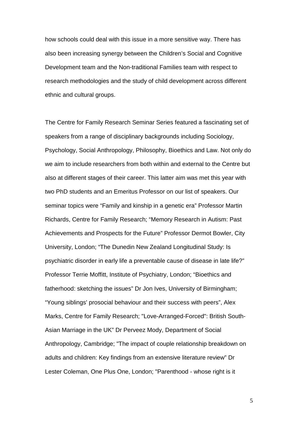how schools could deal with this issue in a more sensitive way. There has also been increasing synergy between the Children's Social and Cognitive Development team and the Non-traditional Families team with respect to research methodologies and the study of child development across different ethnic and cultural groups.

The Centre for Family Research Seminar Series featured a fascinating set of speakers from a range of disciplinary backgrounds including Sociology, Psychology, Social Anthropology, Philosophy, Bioethics and Law. Not only do we aim to include researchers from both within and external to the Centre but also at different stages of their career. This latter aim was met this year with two PhD students and an Emeritus Professor on our list of speakers. Our seminar topics were "Family and kinship in a genetic era" Professor Martin Richards, Centre for Family Research; "Memory Research in Autism: Past Achievements and Prospects for the Future" Professor Dermot Bowler, City University, London; "The Dunedin New Zealand Longitudinal Study: Is psychiatric disorder in early life a preventable cause of disease in late life?" Professor Terrie Moffitt, Institute of Psychiatry, London; "Bioethics and fatherhood: sketching the issues" Dr Jon Ives, University of Birmingham; "Young siblings' prosocial behaviour and their success with peers", Alex Marks, Centre for Family Research; "Love-Arranged-Forced": British South-Asian Marriage in the UK" Dr Perveez Mody, Department of Social Anthropology, Cambridge; "The impact of couple relationship breakdown on adults and children: Key findings from an extensive literature review" Dr Lester Coleman, One Plus One, London; "Parenthood - whose right is it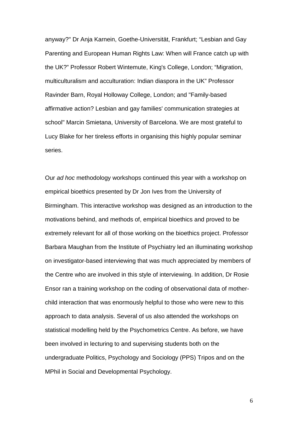anyway?" Dr Anja Karnein, Goethe-Universität, Frankfurt; "Lesbian and Gay Parenting and European Human Rights Law: When will France catch up with the UK?" Professor Robert Wintemute, King's College, London; "Migration, multiculturalism and acculturation: Indian diaspora in the UK" Professor Ravinder Barn, Royal Holloway College, London; and "Family-based affirmative action? Lesbian and gay families' communication strategies at school" Marcin Smietana, University of Barcelona. We are most grateful to Lucy Blake for her tireless efforts in organising this highly popular seminar series.

Our *ad hoc* methodology workshops continued this year with a workshop on empirical bioethics presented by Dr Jon Ives from the University of Birmingham. This interactive workshop was designed as an introduction to the motivations behind, and methods of, empirical bioethics and proved to be extremely relevant for all of those working on the bioethics project. Professor Barbara Maughan from the Institute of Psychiatry led an illuminating workshop on investigator-based interviewing that was much appreciated by members of the Centre who are involved in this style of interviewing. In addition, Dr Rosie Ensor ran a training workshop on the coding of observational data of motherchild interaction that was enormously helpful to those who were new to this approach to data analysis. Several of us also attended the workshops on statistical modelling held by the Psychometrics Centre. As before, we have been involved in lecturing to and supervising students both on the undergraduate Politics, Psychology and Sociology (PPS) Tripos and on the MPhil in Social and Developmental Psychology.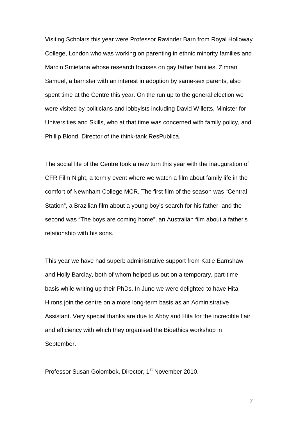Visiting Scholars this year were Professor Ravinder Barn from Royal Holloway College, London who was working on parenting in ethnic minority families and Marcin Smietana whose research focuses on gay father families. Zimran Samuel, a barrister with an interest in adoption by same-sex parents, also spent time at the Centre this year. On the run up to the general election we were visited by politicians and lobbyists including David Willetts, Minister for Universities and Skills, who at that time was concerned with family policy, and Phillip Blond, Director of the think-tank ResPublica.

The social life of the Centre took a new turn this year with the inauguration of CFR Film Night, a termly event where we watch a film about family life in the comfort of Newnham College MCR. The first film of the season was "Central Station", a Brazilian film about a young boy's search for his father, and the second was "The boys are coming home", an Australian film about a father's relationship with his sons.

This year we have had superb administrative support from Katie Earnshaw and Holly Barclay, both of whom helped us out on a temporary, part-time basis while writing up their PhDs. In June we were delighted to have Hita Hirons join the centre on a more long-term basis as an Administrative Assistant. Very special thanks are due to Abby and Hita for the incredible flair and efficiency with which they organised the Bioethics workshop in September.

Professor Susan Golombok, Director, 1<sup>st</sup> November 2010.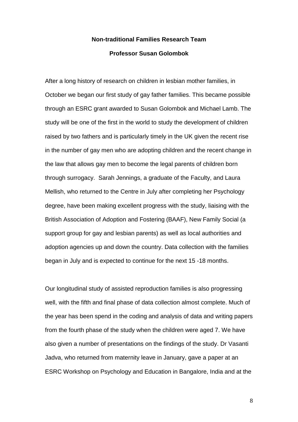# **Non-traditional Families Research Team Professor Susan Golombok**

After a long history of research on children in lesbian mother families, in October we began our first study of gay father families. This became possible through an ESRC grant awarded to Susan Golombok and Michael Lamb. The study will be one of the first in the world to study the development of children raised by two fathers and is particularly timely in the UK given the recent rise in the number of gay men who are adopting children and the recent change in the law that allows gay men to become the legal parents of children born through surrogacy. Sarah Jennings, a graduate of the Faculty, and Laura Mellish, who returned to the Centre in July after completing her Psychology degree, have been making excellent progress with the study, liaising with the British Association of Adoption and Fostering (BAAF), New Family Social (a support group for gay and lesbian parents) as well as local authorities and adoption agencies up and down the country. Data collection with the families began in July and is expected to continue for the next 15 -18 months.

Our longitudinal study of assisted reproduction families is also progressing well, with the fifth and final phase of data collection almost complete. Much of the year has been spend in the coding and analysis of data and writing papers from the fourth phase of the study when the children were aged 7. We have also given a number of presentations on the findings of the study. Dr Vasanti Jadva, who returned from maternity leave in January, gave a paper at an ESRC Workshop on Psychology and Education in Bangalore, India and at the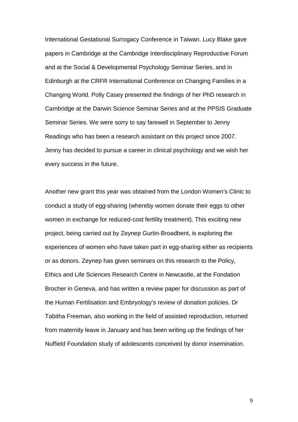International Gestational Surrogacy Conference in Taiwan. Lucy Blake gave papers in Cambridge at the Cambridge Interdisciplinary Reproductive Forum and at the Social & Developmental Psychology Seminar Series, and in Edinburgh at the CRFR International Conference on Changing Families in a Changing World. Polly Casey presented the findings of her PhD research in Cambridge at the Darwin Science Seminar Series and at the PPSIS Graduate Seminar Series. We were sorry to say farewell in September to Jenny Readings who has been a research assistant on this project since 2007. Jenny has decided to pursue a career in clinical psychology and we wish her every success in the future.

Another new grant this year was obtained from the London Women's Clinic to conduct a study of egg-sharing (whereby women donate their eggs to other women in exchange for reduced-cost fertility treatment). This exciting new project, being carried out by Zeynep Gurtin-Broadbent, is exploring the experiences of women who have taken part in egg-sharing either as recipients or as donors. Zeynep has given seminars on this research to the Policy, Ethics and Life Sciences Research Centre in Newcastle, at the Fondation Brocher in Geneva, and has written a review paper for discussion as part of the Human Fertilisation and Embryology's review of donation policies. Dr Tabitha Freeman, also working in the field of assisted reproduction, returned from maternity leave in January and has been writing up the findings of her Nuffield Foundation study of adolescents conceived by donor insemination.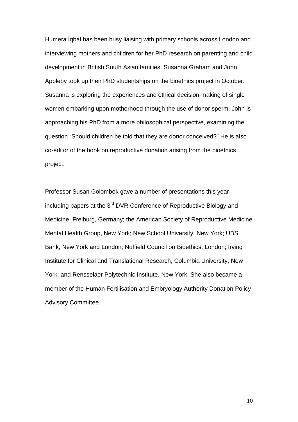Humera Iqbal has been busy liaising with primary schools across London and interviewing mothers and children for her PhD research on parenting and child development in British South Asian families. Susanna Graham and John Appleby took up their PhD studentships on the bioethics project in October. Susanna is exploring the experiences and ethical decision-making of single women embarking upon motherhood through the use of donor sperm. John is approaching his PhD from a more philosophical perspective, examining the question "Should children be told that they are donor conceived?" He is also co-editor of the book on reproductive donation arising from the bioethics project.

Professor Susan Golombok gave a number of presentations this year including papers at the 3<sup>rd</sup> DVR Conference of Reproductive Biology and Medicine, Freiburg, Germany; the American Society of Reproductive Medicine Mental Health Group, New York; New School University, New York; UBS Bank, New York and London; Nuffield Council on Bioethics, London; Irving Institute for Clinical and Translational Research, Columbia University, New York; and Rensselaer Polytechnic Institute, New York. She also became a member of the Human Fertilisation and Embryology Authority Donation Policy Advisory Committee.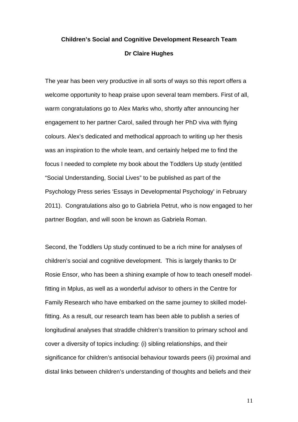# **Children's Social and Cognitive Development Research Team Dr Claire Hughes**

The year has been very productive in all sorts of ways so this report offers a welcome opportunity to heap praise upon several team members. First of all, warm congratulations go to Alex Marks who, shortly after announcing her engagement to her partner Carol, sailed through her PhD viva with flying colours. Alex's dedicated and methodical approach to writing up her thesis was an inspiration to the whole team, and certainly helped me to find the focus I needed to complete my book about the Toddlers Up study (entitled "Social Understanding, Social Lives" to be published as part of the Psychology Press series 'Essays in Developmental Psychology' in February 2011). Congratulations also go to Gabriela Petrut, who is now engaged to her partner Bogdan, and will soon be known as Gabriela Roman.

Second, the Toddlers Up study continued to be a rich mine for analyses of children's social and cognitive development. This is largely thanks to Dr Rosie Ensor, who has been a shining example of how to teach oneself modelfitting in Mplus, as well as a wonderful advisor to others in the Centre for Family Research who have embarked on the same journey to skilled modelfitting. As a result, our research team has been able to publish a series of longitudinal analyses that straddle children's transition to primary school and cover a diversity of topics including: (i) sibling relationships, and their significance for children's antisocial behaviour towards peers (ii) proximal and distal links between children's understanding of thoughts and beliefs and their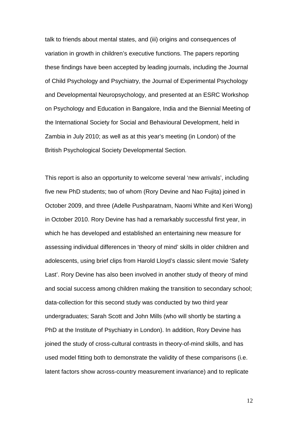talk to friends about mental states, and (iii) origins and consequences of variation in growth in children's executive functions. The papers reporting these findings have been accepted by leading journals, including the Journal of Child Psychology and Psychiatry, the Journal of Experimental Psychology and Developmental Neuropsychology, and presented at an ESRC Workshop on Psychology and Education in Bangalore, India and the Biennial Meeting of the International Society for Social and Behavioural Development, held in Zambia in July 2010; as well as at this year's meeting (in London) of the British Psychological Society Developmental Section.

This report is also an opportunity to welcome several 'new arrivals', including five new PhD students; two of whom (Rory Devine and Nao Fujita) joined in October 2009, and three (Adelle Pushparatnam, Naomi White and Keri Wong) in October 2010. Rory Devine has had a remarkably successful first year, in which he has developed and established an entertaining new measure for assessing individual differences in 'theory of mind' skills in older children and adolescents, using brief clips from Harold Lloyd's classic silent movie 'Safety Last'. Rory Devine has also been involved in another study of theory of mind and social success among children making the transition to secondary school; data-collection for this second study was conducted by two third year undergraduates; Sarah Scott and John Mills (who will shortly be starting a PhD at the Institute of Psychiatry in London). In addition, Rory Devine has joined the study of cross-cultural contrasts in theory-of-mind skills, and has used model fitting both to demonstrate the validity of these comparisons (i.e. latent factors show across-country measurement invariance) and to replicate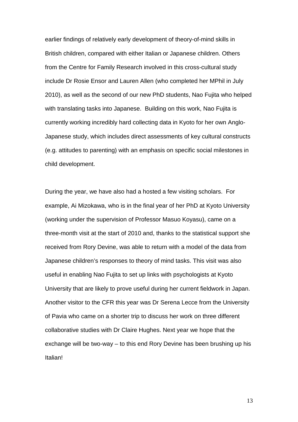earlier findings of relatively early development of theory-of-mind skills in British children, compared with either Italian or Japanese children. Others from the Centre for Family Research involved in this cross-cultural study include Dr Rosie Ensor and Lauren Allen (who completed her MPhil in July 2010), as well as the second of our new PhD students, Nao Fujita who helped with translating tasks into Japanese. Building on this work, Nao Fujita is currently working incredibly hard collecting data in Kyoto for her own Anglo-Japanese study, which includes direct assessments of key cultural constructs (e.g. attitudes to parenting) with an emphasis on specific social milestones in child development.

During the year, we have also had a hosted a few visiting scholars. For example, Ai Mizokawa, who is in the final year of her PhD at Kyoto University (working under the supervision of Professor Masuo Koyasu), came on a three-month visit at the start of 2010 and, thanks to the statistical support she received from Rory Devine, was able to return with a model of the data from Japanese children's responses to theory of mind tasks. This visit was also useful in enabling Nao Fujita to set up links with psychologists at Kyoto University that are likely to prove useful during her current fieldwork in Japan. Another visitor to the CFR this year was Dr Serena Lecce from the University of Pavia who came on a shorter trip to discuss her work on three different collaborative studies with Dr Claire Hughes. Next year we hope that the exchange will be two-way – to this end Rory Devine has been brushing up his **Italian!**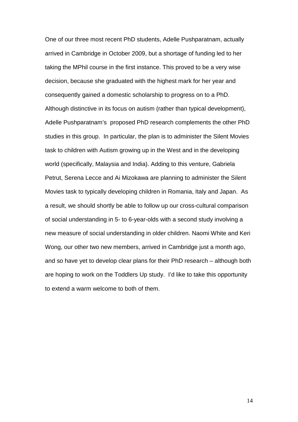One of our three most recent PhD students, Adelle Pushparatnam, actually arrived in Cambridge in October 2009, but a shortage of funding led to her taking the MPhil course in the first instance. This proved to be a very wise decision, because she graduated with the highest mark for her year and consequently gained a domestic scholarship to progress on to a PhD. Although distinctive in its focus on autism (rather than typical development), Adelle Pushparatnam's proposed PhD research complements the other PhD studies in this group. In particular, the plan is to administer the Silent Movies task to children with Autism growing up in the West and in the developing world (specifically, Malaysia and India). Adding to this venture, Gabriela Petrut, Serena Lecce and Ai Mizokawa are planning to administer the Silent Movies task to typically developing children in Romania, Italy and Japan. As a result, we should shortly be able to follow up our cross-cultural comparison of social understanding in 5- to 6-year-olds with a second study involving a new measure of social understanding in older children. Naomi White and Keri Wong, our other two new members, arrived in Cambridge just a month ago, and so have yet to develop clear plans for their PhD research – although both are hoping to work on the Toddlers Up study. I'd like to take this opportunity to extend a warm welcome to both of them.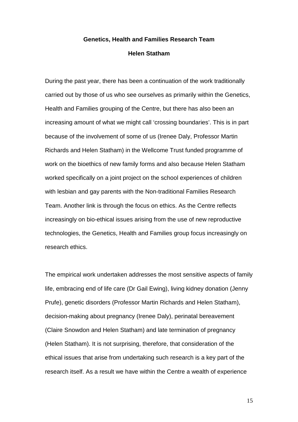# **Genetics, Health and Families Research Team Helen Statham**

During the past year, there has been a continuation of the work traditionally carried out by those of us who see ourselves as primarily within the Genetics, Health and Families grouping of the Centre, but there has also been an increasing amount of what we might call 'crossing boundaries'. This is in part because of the involvement of some of us (Irenee Daly, Professor Martin Richards and Helen Statham) in the Wellcome Trust funded programme of work on the bioethics of new family forms and also because Helen Statham worked specifically on a joint project on the school experiences of children with lesbian and gay parents with the Non-traditional Families Research Team. Another link is through the focus on ethics. As the Centre reflects increasingly on bio-ethical issues arising from the use of new reproductive technologies, the Genetics, Health and Families group focus increasingly on research ethics.

The empirical work undertaken addresses the most sensitive aspects of family life, embracing end of life care (Dr Gail Ewing), living kidney donation (Jenny Prufe), genetic disorders (Professor Martin Richards and Helen Statham), decision-making about pregnancy (Irenee Daly), perinatal bereavement (Claire Snowdon and Helen Statham) and late termination of pregnancy (Helen Statham). It is not surprising, therefore, that consideration of the ethical issues that arise from undertaking such research is a key part of the research itself. As a result we have within the Centre a wealth of experience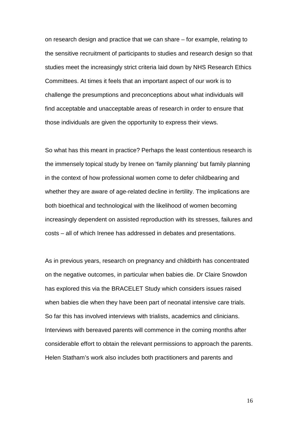on research design and practice that we can share – for example, relating to the sensitive recruitment of participants to studies and research design so that studies meet the increasingly strict criteria laid down by NHS Research Ethics Committees. At times it feels that an important aspect of our work is to challenge the presumptions and preconceptions about what individuals will find acceptable and unacceptable areas of research in order to ensure that those individuals are given the opportunity to express their views.

So what has this meant in practice? Perhaps the least contentious research is the immensely topical study by Irenee on 'family planning' but family planning in the context of how professional women come to defer childbearing and whether they are aware of age-related decline in fertility. The implications are both bioethical and technological with the likelihood of women becoming increasingly dependent on assisted reproduction with its stresses, failures and costs – all of which Irenee has addressed in debates and presentations.

As in previous years, research on pregnancy and childbirth has concentrated on the negative outcomes, in particular when babies die. Dr Claire Snowdon has explored this via the BRACELET Study which considers issues raised when babies die when they have been part of neonatal intensive care trials. So far this has involved interviews with trialists, academics and clinicians. Interviews with bereaved parents will commence in the coming months after considerable effort to obtain the relevant permissions to approach the parents. Helen Statham's work also includes both practitioners and parents and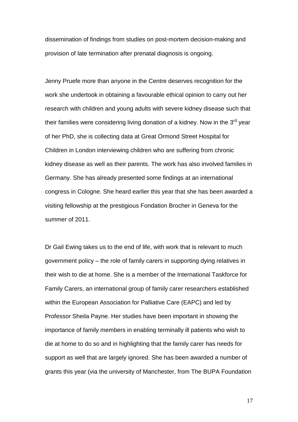dissemination of findings from studies on post-mortem decision-making and provision of late termination after prenatal diagnosis is ongoing.

Jenny Pruefe more than anyone in the Centre deserves recognition for the work she undertook in obtaining a favourable ethical opinion to carry out her research with children and young adults with severe kidney disease such that their families were considering living donation of a kidney. Now in the 3<sup>rd</sup> vear of her PhD, she is collecting data at Great Ormond Street Hospital for Children in London interviewing children who are suffering from chronic kidney disease as well as their parents. The work has also involved families in Germany. She has already presented some findings at an international congress in Cologne. She heard earlier this year that she has been awarded a visiting fellowship at the prestigious Fondation Brocher in Geneva for the summer of 2011.

Dr Gail Ewing takes us to the end of life, with work that is relevant to much government policy – the role of family carers in supporting dying relatives in their wish to die at home. She is a member of the International Taskforce for Family Carers, an international group of family carer researchers established within the European Association for Palliative Care (EAPC) and led by Professor Sheila Payne. Her studies have been important in showing the importance of family members in enabling terminally ill patients who wish to die at home to do so and in highlighting that the family carer has needs for support as well that are largely ignored. She has been awarded a number of grants this year (via the university of Manchester, from The BUPA Foundation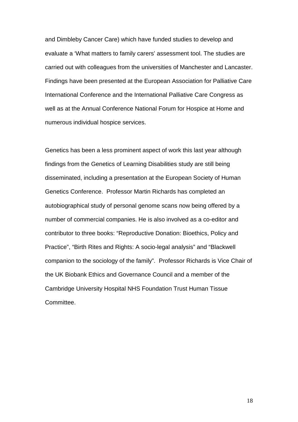and Dimbleby Cancer Care) which have funded studies to develop and evaluate a 'What matters to family carers' assessment tool. The studies are carried out with colleagues from the universities of Manchester and Lancaster. Findings have been presented at the European Association for Palliative Care International Conference and the International Palliative Care Congress as well as at the Annual Conference National Forum for Hospice at Home and numerous individual hospice services.

Genetics has been a less prominent aspect of work this last year although findings from the Genetics of Learning Disabilities study are still being disseminated, including a presentation at the European Society of Human Genetics Conference. Professor Martin Richards has completed an autobiographical study of personal genome scans now being offered by a number of commercial companies. He is also involved as a co-editor and contributor to three books: "Reproductive Donation: Bioethics, Policy and Practice", "Birth Rites and Rights: A socio-legal analysis" and "Blackwell companion to the sociology of the family". Professor Richards is Vice Chair of the UK Biobank Ethics and Governance Council and a member of the Cambridge University Hospital NHS Foundation Trust Human Tissue Committee.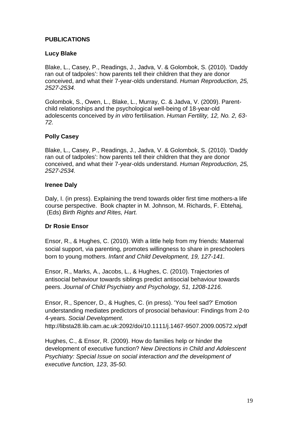# **PUBLICATIONS**

# **Lucy Blake**

Blake, L., Casey, P., Readings, J., Jadva, V. & Golombok, S. (2010). 'Daddy ran out of tadpoles': how parents tell their children that they are donor conceived, and what their 7-year-olds understand. *Human Reproduction, 25, 2527-2534.*

Golombok, S., Owen, L., Blake, L., Murray, C. & Jadva, V. (2009). Parentchild relationships and the psychological well-being of 18-year-old adolescents conceived by *in vitro* fertilisation. *Human Fertility, 12, No. 2, 63- 72.*

# **Polly Casey**

Blake, L., Casey, P., Readings, J., Jadva, V. & Golombok, S. (2010). 'Daddy ran out of tadpoles': how parents tell their children that they are donor conceived, and what their 7-year-olds understand. *Human Reproduction, 25, 2527-2534.*

# **Irenee Daly**

Daly, I. (in press). Explaining the trend towards older first time mothers-a life course perspective. Book chapter in M. Johnson, M. Richards, F. Ebtehaj, (Eds) *Birth Rights and Rites, Hart.* 

# **Dr Rosie Ensor**

Ensor, R., & Hughes, C. (2010). With a little help from my friends: Maternal social support, via parenting, promotes willingness to share in preschoolers born to young mothers. *Infant and Child Development, 19, 127-141*.

Ensor, R., Marks, A., Jacobs, L., & Hughes, C. (2010). Trajectories of antisocial behaviour towards siblings predict antisocial behaviour towards peers. *Journal of Child Psychiatry and Psychology, 51, 1208-1216.*

Ensor, R., Spencer, D., & Hughes, C. (in press). 'You feel sad?' Emotion understanding mediates predictors of prosocial behaviour: Findings from 2-to 4-years. *Social Development.* 

http://libsta28.lib.cam.ac.uk:2092/doi/10.1111/j.1467-9507.2009.00572.x/pdf

Hughes, C., & Ensor, R. (2009). How do families help or hinder the development of executive function? *New Directions in Child and Adolescent Psychiatry: Special Issue on social interaction and the development of executive function, 123*, *35-50.*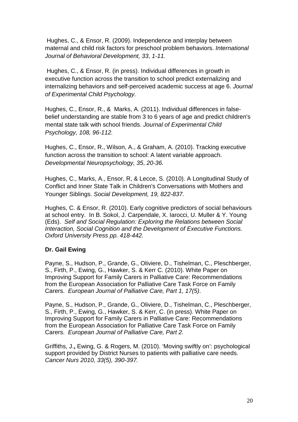Hughes, C., & Ensor, R. (2009). Independence and interplay between maternal and child risk factors for preschool problem behaviors. *International Journal of Behavioral Development, 33*, *1-11.*

Hughes, C., & Ensor, R. (in press). Individual differences in growth in executive function across the transition to school predict externalizing and internalizing behaviors and self-perceived academic success at age 6. *Journal of Experimental Child Psychology.*

Hughes, C., Ensor, R., & Marks, A. (2011). Individual differences in falsebelief understanding are stable from 3 to 6 years of age and predict children's mental state talk with school friends. *Journal of Experimental Child Psychology, 108, 96-112.*

Hughes, C., Ensor, R., Wilson, A., & Graham, A. (2010). Tracking executive function across the transition to school: A latent variable approach. *Developmental Neuropsychology, 35*, *20-36.*

Hughes, C., Marks, A., Ensor, R, & Lecce, S. (2010). A Longitudinal Study of Conflict and Inner State Talk in Children's Conversations with Mothers and Younger Siblings. *Social Development, 19, 822-837.*

Hughes, C. & Ensor, R. (2010). Early cognitive predictors of social behaviours at school entry. In B. Sokol, J. Carpendale, X. Iarocci, U. Muller & Y. Young (Eds). *Self and Social Regulation: Exploring the Relations between Social Interaction, Social Cognition and the Development of Executive Functions. Oxford University Press pp. 418-442.*

# **Dr. Gail Ewing**

Payne, S., Hudson, P., Grande, G., Oliviere, D., Tishelman, C., Pleschberger, S., Firth, P., Ewing, G., Hawker, S. & Kerr C. (2010). White Paper on Improving Support for Family Carers in Palliative Care: Recommendations from the European Association for Palliative Care Task Force on Family Carers. *European Journal of Palliative Care, Part 1, 17(5)*.

Payne, S., Hudson, P., Grande, G., Oliviere, D., Tishelman, C., Pleschberger, S., Firth, P., Ewing, G., Hawker, S. & Kerr, C. (in press). White Paper on Improving Support for Family Carers in Palliative Care: Recommendations from the European Association for Palliative Care Task Force on Family Carers. *European Journal of Palliative Care, Part 2.*

Griffiths, J.**,** Ewing, G. & Rogers, M. (2010). 'Moving swiftly on': psychological support provided by District Nurses to patients with palliative care needs. *Cancer Nurs 2010, 33(5), 390-397.*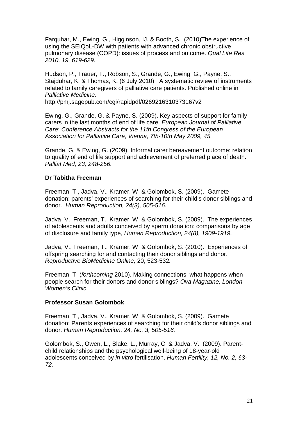Farquhar, M., Ewing, G., Higginson, IJ. & Booth, S. (2010)The experience of using the SEIQoL-DW with patients with advanced chronic obstructive pulmonary disease (COPD): issues of process and outcome. *Qual Life Res 2010, 19, 619-629.*

Hudson, P., Trauer, T., Robson, S., Grande, G., Ewing, G., Payne, S., Stajduhar, K. & Thomas, K. (6 July 2010). A systematic review of instruments related to family caregivers of palliative care patients. Published online in *Palliative Medicine.* 

<http://pmj.sagepub.com/cgi/rapidpdf/0269216310373167v2>

Ewing, G., Grande, G. & Payne, S. (2009). Key aspects of support for family carers in the last months of end of life care. *European Journal of Palliative Care*; *Conference Abstracts for the 11th Congress of the European Association for Palliative Care, Vienna, 7th-10th May 2009, 45.*

Grande, G. & Ewing, G. (2009). Informal carer bereavement outcome: relation to quality of end of life support and achievement of preferred place of death. *Palliat Med, 23, 248-256.*

# **Dr Tabitha Freeman**

Freeman, T., Jadva, V., Kramer, W. & Golombok, S. (2009). Gamete donation: parents' experiences of searching for their child's donor siblings and donor. *Human Reproduction, 24(3), 505-516.*

Jadva, V., Freeman, T., Kramer, W. & Golombok, S. (2009). The experiences of adolescents and adults conceived by sperm donation: comparisons by age of disclosure and family type, *Human Reproduction, 24(8), 1909-1919.*

Jadva, V., Freeman, T., Kramer, W. & Golombok, S. (2010). Experiences of offspring searching for and contacting their donor siblings and donor. *Reproductive BioMedicine Online,* 20, 523-532*.*

Freeman, T. (*forthcoming* 2010). Making connections: what happens when people search for their donors and donor siblings? *Ova Magazine, London Women's Clinic.*

# **Professor Susan Golombok**

Freeman, T., Jadva, V., Kramer, W. & Golombok, S. (2009). Gamete donation: Parents experiences of searching for their child's donor siblings and donor. *Human Reproduction, 24, No. 3, 505-516.*

Golombok, S., Owen, L., Blake, L., Murray, C. & Jadva, V. (2009). Parentchild relationships and the psychological well-being of 18-year-old adolescents conceived by *in vitro* fertilisation. *Human Fertility, 12, No. 2, 63- 72.*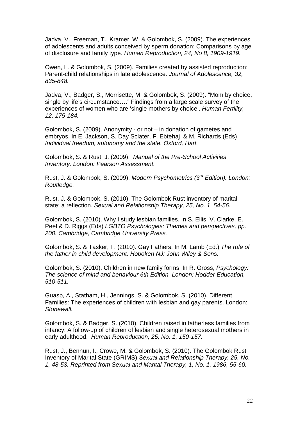Jadva, V., Freeman, T., Kramer, W. & Golombok, S. (2009). The experiences of adolescents and adults conceived by sperm donation: Comparisons by age of disclosure and family type. *Human Reproduction, 24, No 8, 1909-1919.*

Owen, L. & Golombok, S. (2009). Families created by assisted reproduction: Parent-child relationships in late adolescence. *Journal of Adolescence, 32, 835-848.*

Jadva, V., Badger, S., Morrisette, M. & Golombok, S. (2009). "Mom by choice, single by life's circumstance...." Findings from a large scale survey of the experiences of women who are 'single mothers by choice'. *Human Fertility, 12, 175-184.*

Golombok, S. (2009). Anonymity - or not – in donation of gametes and embryos. In E. Jackson, S. Day Sclater, F. Ebtehaj & M. Richards (Eds) *Individual freedom, autonomy and the state. Oxford, Hart.* 

Golombok, S. & Rust, J. (2009). *Manual of the Pre-School Activities Inventory. London: Pearson Assessment.*

Rust, J. & Golombok, S. (2009). *Modern Psychometrics (3rd Edition). London: Routledge.*

Rust, J. & Golombok, S. (2010). The Golombok Rust inventory of marital state: a reflection. *Sexual and Relationship Therapy, 25, No. 1, 54-56.*

Golombok, S. (2010). Why I study lesbian families. In S. Ellis, V. Clarke, E. Peel & D. Riggs (Eds) *LGBTQ Psychologies: Themes and perspectives, pp. 200. Cambridge, Cambridge University Press.*

Golombok, S. & Tasker, F. (2010). Gay Fathers. In M. Lamb (Ed.) *The role of the father in child development. Hoboken NJ: John Wiley & Sons.*

Golombok, S. (2010). Children in new family forms. In R. Gross, *Psychology: The science of mind and behaviour 6th Edition. London: Hodder Education, 510-511.*

Guasp, A., Statham, H., Jennings, S. & Golombok, S. (2010). Different Families: The experiences of children with lesbian and gay parents. London: *Stonewall.*

Golombok, S. & Badger, S. (2010). Children raised in fatherless families from infancy: A follow-up of children of lesbian and single heterosexual mothers in early adulthood. *Human Reproduction, 25, No. 1, 150-157.*

Rust, J., Bennun, I., Crowe, M. & Golombok, S. (2010). The Golombok Rust Inventory of Marital State (GRIMS) *Sexual and Relationship Therapy, 25, No. 1, 48-53. Reprinted from Sexual and Marital Therapy, 1, No. 1, 1986, 55-60.*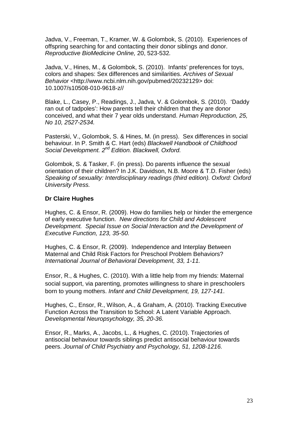Jadva, V., Freeman, T., Kramer, W. & Golombok, S. (2010). Experiences of offspring searching for and contacting their donor siblings and donor. *Reproductive BioMedicine Online,* 20, 523-532*.*

Jadva, V., Hines, M., & Golombok, S. (2010). Infants' preferences for toys, colors and shapes: Sex differences and similarities. *Archives of Sexual Behavior* [<http://www.ncbi.nlm.nih.gov/pubmed/20232129>](http://www.ncbi.nlm.nih.gov/pubmed/20232129) doi: 10.1007/s10508-010-9618-z//

Blake, L., Casey, P., Readings, J., Jadva, V. & Golombok, S. (2010). 'Daddy ran out of tadpoles': How parents tell their children that they are donor conceived, and what their 7 year olds understand. *Human Reproduction, 25, No 10, 2527-2534.*

Pasterski, V., Golombok, S. & Hines, M. (in press). Sex differences in social behaviour. In P. Smith & C. Hart (eds) *Blackwell Handbook of Childhood Social Development. 2nd Edition. Blackwell, Oxford.*

Golombok, S. & Tasker, F. (in press). Do parents influence the sexual orientation of their children? In J.K. Davidson, N.B. Moore & T.D. Fisher (eds) *Speaking of sexuality: Interdisciplinary readings (third edition). Oxford: Oxford University Press.*

### **Dr Claire Hughes**

Hughes, C. & Ensor, R. (2009). How do families help or hinder the emergence of early executive function. *New directions for Child and Adolescent Development. Special Issue on Social Interaction and the Development of Executive Function, 123, 35-50.*

Hughes, C. & Ensor, R. (2009). Independence and Interplay Between Maternal and Child Risk Factors for Preschool Problem Behaviors? *International Journal of Behavioral Development, 33, 1-11.*

Ensor, R., & Hughes, C. (2010). With a little help from my friends: Maternal social support, via parenting, promotes willingness to share in preschoolers born to young mothers. *Infant and Child Development, 19, 127-141*.

Hughes, C., Ensor, R., Wilson, A., & Graham, A. (2010). Tracking Executive Function Across the Transition to School: A Latent Variable Approach. *Developmental Neuropsychology, 35, 20-36.*

Ensor, R., Marks, A., Jacobs, L., & Hughes, C. (2010). Trajectories of antisocial behaviour towards siblings predict antisocial behaviour towards peers. *Journal of Child Psychiatry and Psychology, 51, 1208-1216.*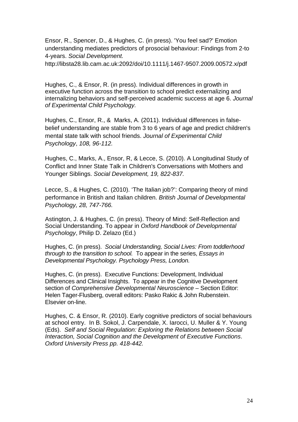Ensor, R., Spencer, D., & Hughes, C. (in press). 'You feel sad?' Emotion understanding mediates predictors of prosocial behaviour: Findings from 2-to 4-years. *Social Development.* 

http://libsta28.lib.cam.ac.uk:2092/doi/10.1111/j.1467-9507.2009.00572.x/pdf

Hughes, C., & Ensor, R. (in press). Individual differences in growth in executive function across the transition to school predict externalizing and internalizing behaviors and self-perceived academic success at age 6. *Journal of Experimental Child Psychology.*

Hughes, C., Ensor, R., & Marks, A. (2011). Individual differences in falsebelief understanding are stable from 3 to 6 years of age and predict children's mental state talk with school friends. *Journal of Experimental Child Psychology*, *108, 96-112.*

Hughes, C., Marks, A., Ensor, R, & Lecce, S. (2010). A Longitudinal Study of Conflict and Inner State Talk in Children's Conversations with Mothers and Younger Siblings. *Social Development, 19, 822-837.*

Lecce, S., & Hughes, C. (2010). 'The Italian job?': Comparing theory of mind performance in British and Italian children. *British Journal of Developmental Psychology, 28, 747-766.*

Astington, J. & Hughes, C. (in press). Theory of Mind: Self-Reflection and Social Understanding. To appear in *Oxford Handbook of Developmental Psychology*, Philip D. Zelazo (Ed.)

Hughes, C. (in press). *Social Understanding, Social Lives: From toddlerhood through to the transition to school.* To appear in the series, *Essays in Developmental Psychology. Psychology Press, London.*

Hughes, C. (in press). Executive Functions: Development, Individual Differences and Clinical Insights. To appear in the Cognitive Development section of *Comprehensive Developmental Neuroscience –* Section Editor: Helen Tager-Flusberg, overall editors: Pasko Rakic & John Rubenstein. Elsevier on-line.

Hughes, C. & Ensor, R. (2010). Early cognitive predictors of social behaviours at school entry. In B. Sokol, J. Carpendale, X. Iarocci, U. Muller & Y. Young (Eds). *Self and Social Regulation: Exploring the Relations between Social Interaction, Social Cognition and the Development of Executive Functions*. *Oxford University Press pp. 418-442.*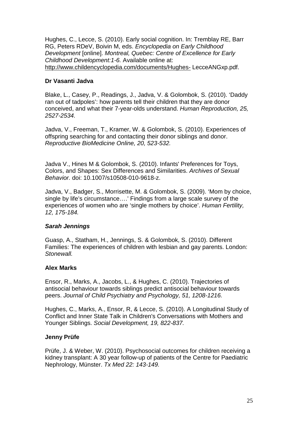Hughes, C., Lecce, S. (2010). Early social cognition. In: Tremblay RE, Barr RG, Peters RDeV, Boivin M, eds. *Encyclopedia on Early Childhood Development* [online]. *Montreal, Quebec: Centre of Excellence for Early Childhood Development:1-6.* Available online at: http://www.childencyclopedia.com/documents/Hughes- LecceANGxp.pdf.

# **Dr Vasanti Jadva**

Blake, L., Casey, P., Readings, J., Jadva, V. & Golombok, S. (2010). 'Daddy ran out of tadpoles': how parents tell their children that they are donor conceived, and what their 7-year-olds understand. *Human Reproduction, 25, 2527-2534.*

Jadva, V., Freeman, T., Kramer, W. & Golombok, S. (2010). Experiences of offspring searching for and contacting their donor siblings and donor. *Reproductive BioMedicine Online, 20, 523-532.*

Jadva V., Hines M & Golombok, S. (2010). Infants' Preferences for Toys, Colors, and Shapes: Sex Differences and Similarities. *Archives of Sexual Behavior.* doi: 10.1007/s10508-010-9618-z.

Jadva, V., Badger, S., Morrisette, M. & Golombok, S. (2009). 'Mom by choice, single by life's circumstance….' Findings from a large scale survey of the experiences of women who are 'single mothers by choice'. *Human Fertility, 12, 175-184.*

#### *Sarah Jennings*

Guasp, A., Statham, H., Jennings, S. & Golombok, S. (2010). Different Families: The experiences of children with lesbian and gay parents. London: *Stonewall.*

#### **Alex Marks**

Ensor, R., Marks, A., Jacobs, L., & Hughes, C. (2010). Trajectories of antisocial behaviour towards siblings predict antisocial behaviour towards peers. *Journal of Child Psychiatry and Psychology, 51, 1208-1216.*

Hughes, C., Marks, A., Ensor, R, & Lecce, S. (2010). A Longitudinal Study of Conflict and Inner State Talk in Children's Conversations with Mothers and Younger Siblings. *Social Development, 19, 822-837.*

#### **Jenny Prüfe**

Prüfe, J. & Weber, W. (2010). Psychosocial outcomes for children receiving a kidney transplant: A 30 year follow-up of patients of the Centre for Paediatric Nephrology, Münster. *Tx Med 22: 143-149.*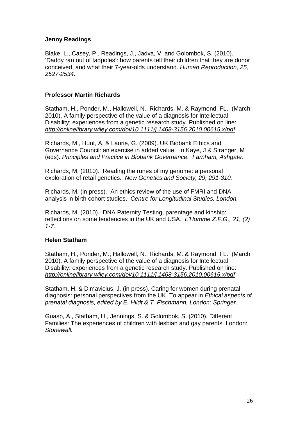#### **Jenny Readings**

Blake, L., Casey, P., Readings, J., Jadva, V. and Golombok, S. (2010). 'Daddy ran out of tadpoles': how parents tell their children that they are donor conceived, and what their 7-year-olds understand. *Human Reproduction, 25, 2527-2534.*

#### **Professor Martin Richards**

Statham, H., Ponder, M., Hallowell, N., Richards, M. & Raymond, FL. (March 2010). A family perspective of the value of a diagnosis for Intellectual Disability: experiences from a genetic research study. Published on line: *<http://onlinelibrary.wiley.com/doi/10.1111/j.1468-3156.2010.00615.x/pdf>*

Richards, M., Hunt, A. & Laurie, G. (2009). UK Biobank Ethics and Governance Council: an exercise in added value. In Kaye, J & Stranger, M (eds). *Principles and Practice in Biobank Governance. Farnham, Ashgate.*

Richards, M. (2010). Reading the runes of my genome: a personal exploration of retail genetics. *New Genetics and Society, 29, 291-310.*

Richards, M. (in press). An ethics review of the use of FMRI and DNA analysis in birth cohort studies. *Centre for Longitudinal Studies, London.*

Richards, M. (2010). DNA Paternity Testing, parentage and kinship: reflections on some tendencies in the UK and USA. *L'Homme Z.F.G., 21, (2) 1-7.*

#### **Helen Statham**

Statham, H., Ponder, M., Hallowell, N., Richards, M. & Raymond, FL. (March 2010). A family perspective of the value of a diagnosis for Intellectual Disability: experiences from a genetic research study. Published on line: *<http://onlinelibrary.wiley.com/doi/10.1111/j.1468-3156.2010.00615.x/pdf>*

Statham, H. & Dimavicius, J. (in press). Caring for women during prenatal diagnosis: personal perspectives from the UK. To appear in *Ethical aspects of prenatal diagnosis, edited by E. Hildt & T. Fischmann, London: Springer.*

Guasp, A., Statham, H., Jennings, S. & Golombok, S. (2010). Different Families: The experiences of children with lesbian and gay parents. London: *Stonewall.*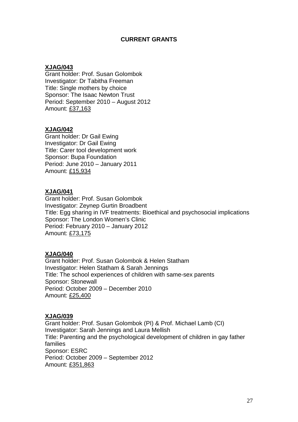#### **CURRENT GRANTS**

#### **XJAG/043**

Grant holder: Prof. Susan Golombok Investigator: Dr Tabitha Freeman Title: Single mothers by choice Sponsor: The Isaac Newton Trust Period: September 2010 – August 2012 Amount: £37,163

#### **XJAG/042**

Grant holder: Dr Gail Ewing Investigator: Dr Gail Ewing Title: Carer tool development work Sponsor: Bupa Foundation Period: June 2010 – January 2011 Amount: £15,934

#### **XJAG/041**

Grant holder: Prof. Susan Golombok Investigator: Zeynep Gurtin Broadbent Title: Egg sharing in IVF treatments: Bioethical and psychosocial implications Sponsor: The London Women's Clinic Period: February 2010 – January 2012 Amount: £73,175

#### **XJAG/040**

Grant holder: Prof. Susan Golombok & Helen Statham Investigator: Helen Statham & Sarah Jennings Title: The school experiences of children with same-sex parents Sponsor: Stonewall Period: October 2009 – December 2010 Amount: £25,400

#### **XJAG/039**

Grant holder: Prof. Susan Golombok (PI) & Prof. Michael Lamb (CI) Investigator: Sarah Jennings and Laura Mellish Title: Parenting and the psychological development of children in gay father families Sponsor: ESRC Period: October 2009 – September 2012 Amount: £351,863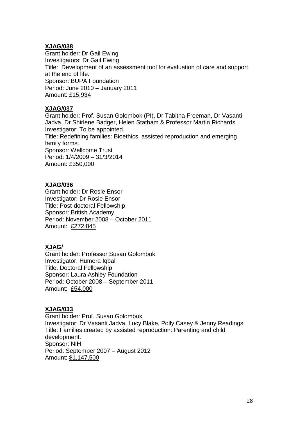#### **XJAG/038**

Grant holder: Dr Gail Ewing Investigators: Dr Gail Ewing Title: Development of an assessment tool for evaluation of care and support at the end of life. Sponsor: BUPA Foundation Period: June 2010 – January 2011 Amount: £15,934

### **XJAG/037**

Grant holder: Prof. Susan Golombok (PI), Dr Tabitha Freeman, Dr Vasanti Jadva, Dr Shirlene Badger, Helen Statham & Professor Martin Richards Investigator: To be appointed Title: Redefining families: Bioethics, assisted reproduction and emerging family forms. Sponsor: Wellcome Trust Period: 1/4/2009 – 31/3/2014 Amount: £350,000

# **XJAG/036**

Grant holder: Dr Rosie Ensor Investigator: Dr Rosie Ensor Title: Post-doctoral Fellowship Sponsor: British Academy Period: November 2008 – October 2011 Amount: £272,845

# **XJAG/**

Grant holder: Professor Susan Golombok Investigator: Humera Iqbal Title: Doctoral Fellowship Sponsor: Laura Ashley Foundation Period: October 2008 – September 2011 Amount: £54,000

# **XJAG/033**

Grant holder: Prof. Susan Golombok Investigator: Dr Vasanti Jadva, Lucy Blake, Polly Casey & Jenny Readings Title: Families created by assisted reproduction: Parenting and child development. Sponsor: NIH Period: September 2007 – August 2012 Amount: \$1,147,500